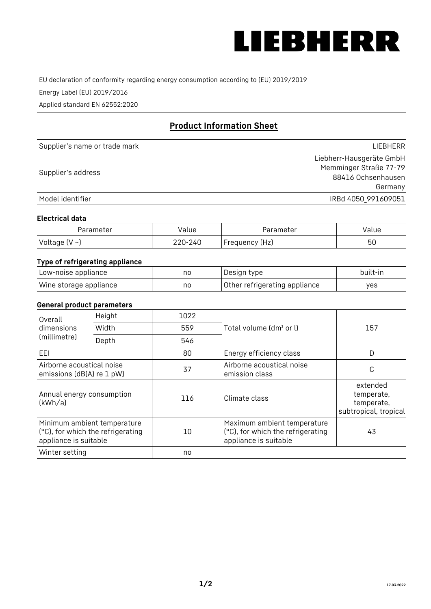

EU declaration of conformity regarding energy consumption according to (EU) 2019/2019

Energy Label (EU) 2019/2016

Applied standard EN 62552:2020

# **Product Information Sheet**

| Supplier's name or trade mark | <b>LIFBHFRR</b>          |
|-------------------------------|--------------------------|
|                               | Liebherr-Hausgeräte GmbH |
| Supplier's address            | Memminger Straße 77-79   |
|                               | 88416 Ochsenhausen       |
|                               | Germany                  |
| Model identifier              | IRBd 4050 991609051      |

#### **Electrical data**

| Parameter     | Value   | Parameter      | Value |
|---------------|---------|----------------|-------|
| Voltage (V ~) | 220-240 | Frequency (Hz) | 50    |

# **Type of refrigerating appliance**

| Low-noise appliance    | no | Design type                   | built-in |
|------------------------|----|-------------------------------|----------|
| Wine storage appliance | no | Other refrigerating appliance | ves      |

### **General product parameters**

| Height<br>Overall                                      |                                                                  | 1022 |                                                                                           |                                                               |
|--------------------------------------------------------|------------------------------------------------------------------|------|-------------------------------------------------------------------------------------------|---------------------------------------------------------------|
| dimensions<br>(millimetre)                             | Width                                                            | 559  | Total volume (dm <sup>3</sup> or l)                                                       | 157                                                           |
|                                                        | Depth                                                            | 546  |                                                                                           |                                                               |
| EEL                                                    |                                                                  | 80   | Energy efficiency class                                                                   | D                                                             |
| Airborne acoustical noise<br>emissions (dB(A) re 1 pW) |                                                                  | 37   | Airborne acoustical noise<br>emission class                                               | С                                                             |
| Annual energy consumption<br>(kWh/a)                   |                                                                  | 116  | Climate class                                                                             | extended<br>temperate,<br>temperate,<br>subtropical, tropical |
| appliance is suitable                                  | Minimum ambient temperature<br>(°C), for which the refrigerating | 10   | Maximum ambient temperature<br>(°C), for which the refrigerating<br>appliance is suitable | 43                                                            |
| Winter setting                                         |                                                                  | no   |                                                                                           |                                                               |